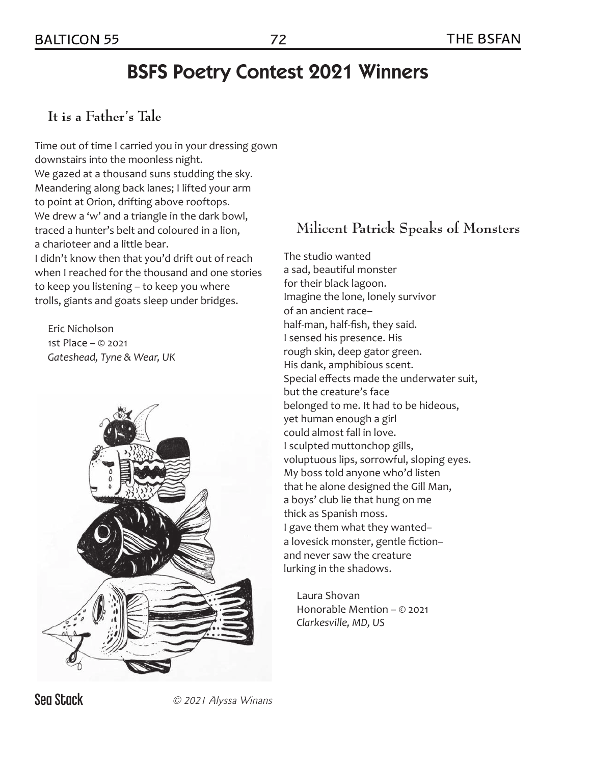# BSFS Poetry Contest 2021 Winners

### **It is a Father's Tale**

Time out of time I carried you in your dressing gown downstairs into the moonless night. We gazed at a thousand suns studding the sky. Meandering along back lanes; I lifted your arm to point at Orion, drifting above rooftops. We drew a 'w' and a triangle in the dark bowl, traced a hunter's belt and coloured in a lion, a charioteer and a little bear. I didn't know then that you'd drift out of reach when I reached for the thousand and one stories to keep you listening – to keep you where

trolls, giants and goats sleep under bridges. Eric Nicholson

1st Place – © 2021 *Gateshead, Tyne & Wear, UK* 



## **Milicent Patrick Speaks of Monsters**

The studio wanted a sad, beautiful monster for their black lagoon. Imagine the lone, lonely survivor of an ancient race– half-man, half-fish, they said. I sensed his presence. His rough skin, deep gator green. His dank, amphibious scent. Special effects made the underwater suit, but the creature's face belonged to me. It had to be hideous, yet human enough a girl could almost fall in love. I sculpted muttonchop gills, voluptuous lips, sorrowful, sloping eyes. My boss told anyone who'd listen that he alone designed the Gill Man, a boys' club lie that hung on me thick as Spanish moss. I gave them what they wanted– a lovesick monster, gentle fiction– and never saw the creature lurking in the shadows.

Laura Shovan Honorable Mention – © 2021 *Clarkesville, MD, US* 

**Sea Stack** © 2021 Alyssa Winans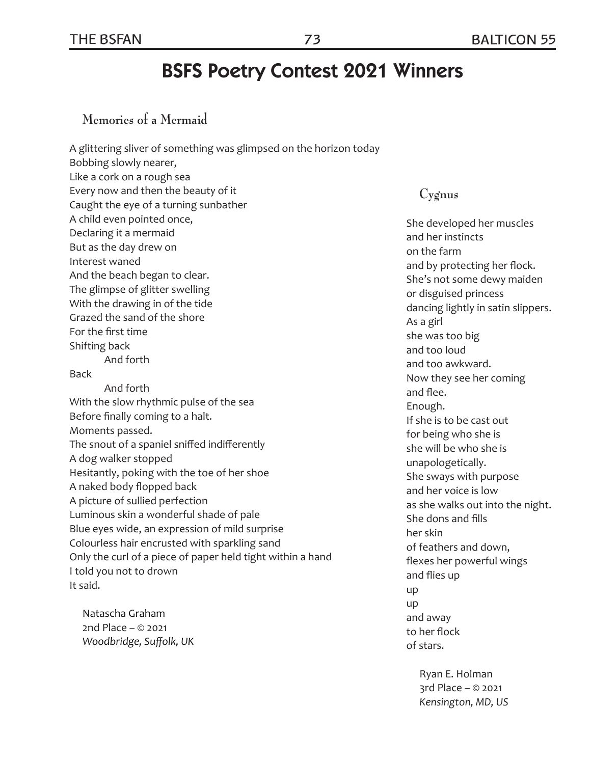## BSFS Poetry Contest 2021 Winners

#### **Memories of a Mermaid**

A glittering sliver of something was glimpsed on the horizon today Bobbing slowly nearer, Like a cork on a rough sea Every now and then the beauty of it Caught the eye of a turning sunbather A child even pointed once, Declaring it a mermaid But as the day drew on Interest waned And the beach began to clear. The glimpse of glitter swelling With the drawing in of the tide Grazed the sand of the shore For the first time Shifting back And forth Back And forth With the slow rhythmic pulse of the sea Before finally coming to a halt. Moments passed. The snout of a spaniel sniffed indifferently A dog walker stopped Hesitantly, poking with the toe of her shoe A naked body flopped back A picture of sullied perfection Luminous skin a wonderful shade of pale Blue eyes wide, an expression of mild surprise Colourless hair encrusted with sparkling sand Only the curl of a piece of paper held tight within a hand I told you not to drown It said.

Natascha Graham 2nd Place – © 2021 *Woodbridge, Suffolk, UK*

#### **Cygnus**

She developed her muscles and her instincts on the farm and by protecting her flock. She's not some dewy maiden or disguised princess dancing lightly in satin slippers. As a girl she was too big and too loud and too awkward. Now they see her coming and flee. Enough. If she is to be cast out for being who she is she will be who she is unapologetically. She sways with purpose and her voice is low as she walks out into the night. She dons and fills her skin of feathers and down, flexes her powerful wings and flies up up up and away to her flock of stars.

Ryan E. Holman 3rd Place – © 2021 *Kensington, MD, US*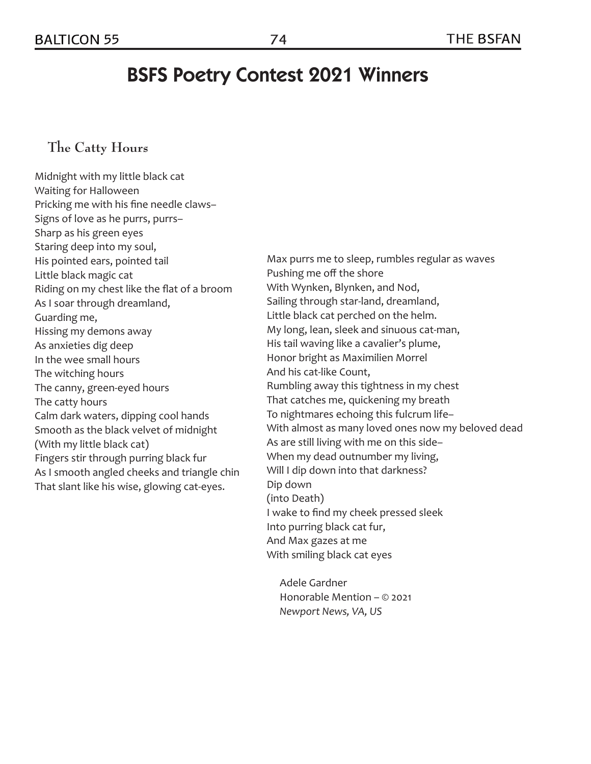# BSFS Poetry Contest 2021 Winners

### **The Catty Hours**

Midnight with my little black cat Waiting for Halloween Pricking me with his fine needle claws– Signs of love as he purrs, purrs– Sharp as his green eyes Staring deep into my soul, His pointed ears, pointed tail Little black magic cat Riding on my chest like the flat of a broom As I soar through dreamland, Guarding me, Hissing my demons away As anxieties dig deep In the wee small hours The witching hours The canny, green-eyed hours The catty hours Calm dark waters, dipping cool hands Smooth as the black velvet of midnight (With my little black cat) Fingers stir through purring black fur As I smooth angled cheeks and triangle chin That slant like his wise, glowing cat-eyes.

Max purrs me to sleep, rumbles regular as waves Pushing me off the shore With Wynken, Blynken, and Nod, Sailing through star-land, dreamland, Little black cat perched on the helm. My long, lean, sleek and sinuous cat-man, His tail waving like a cavalier's plume, Honor bright as Maximilien Morrel And his cat-like Count, Rumbling away this tightness in my chest That catches me, quickening my breath To nightmares echoing this fulcrum life– With almost as many loved ones now my beloved dead As are still living with me on this side– When my dead outnumber my living, Will I dip down into that darkness? Dip down (into Death) I wake to find my cheek pressed sleek Into purring black cat fur, And Max gazes at me With smiling black cat eyes

Adele Gardner Honorable Mention – © 2021 *Newport News, VA, US*